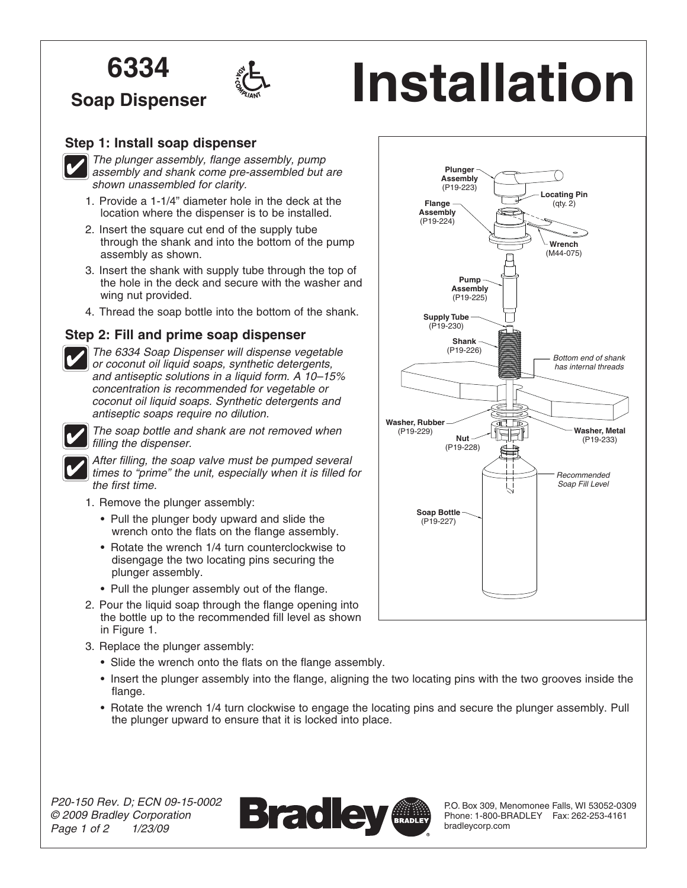# **6334**

**Soap Dispenser**



# **1nstallation**

### **Step 1: Install soap dispenser**



*The plunger assembly, flange assembly, pump assembly and shank come pre-assembled but are shown unassembled for clarity.*

- 1. Provide a 1-1/4" diameter hole in the deck at the location where the dispenser is to be installed.
- 2. Insert the square cut end of the supply tube through the shank and into the bottom of the pump assembly as shown.
- 3. Insert the shank with supply tube through the top of the hole in the deck and secure with the washer and wing nut provided.
- 4. Thread the soap bottle into the bottom of the shank.

#### **Step 2: Fill and prime soap dispenser**



*The 6334 Soap Dispenser will dispense vegetable or coconut oil liquid soaps, synthetic detergents, and antiseptic solutions in a liquid form. A 10–15% concentration is recommended for vegetable or coconut oil liquid soaps. Synthetic detergents and antiseptic soaps require no dilution.*



*The soap bottle and shank are not removed when filling the dispenser.*

*After filling, the soap valve must be pumped several times to "prime" the unit, especially when it is filled for the first time.*

- 1. Remove the plunger assembly:
	- Pull the plunger body upward and slide the wrench onto the flats on the flange assembly.
	- Rotate the wrench 1/4 turn counterclockwise to disengage the two locating pins securing the plunger assembly.
	- Pull the plunger assembly out of the flange.
- 2. Pour the liquid soap through the flange opening into the bottle up to the recommended fill level as shown in Figure 1.
- 3. Replace the plunger assembly:
	- Slide the wrench onto the flats on the flange assembly.
	- Insert the plunger assembly into the flange, aligning the two locating pins with the two grooves inside the flange.
	- Rotate the wrench 1/4 turn clockwise to engage the locating pins and secure the plunger assembly. Pull the plunger upward to ensure that it is locked into place.



P.O. Box 309, Menomonee Falls, WI 53052-0309 Phone: 1-800-BRADLEY Fax: 262-253-4161 bradleycorp.com